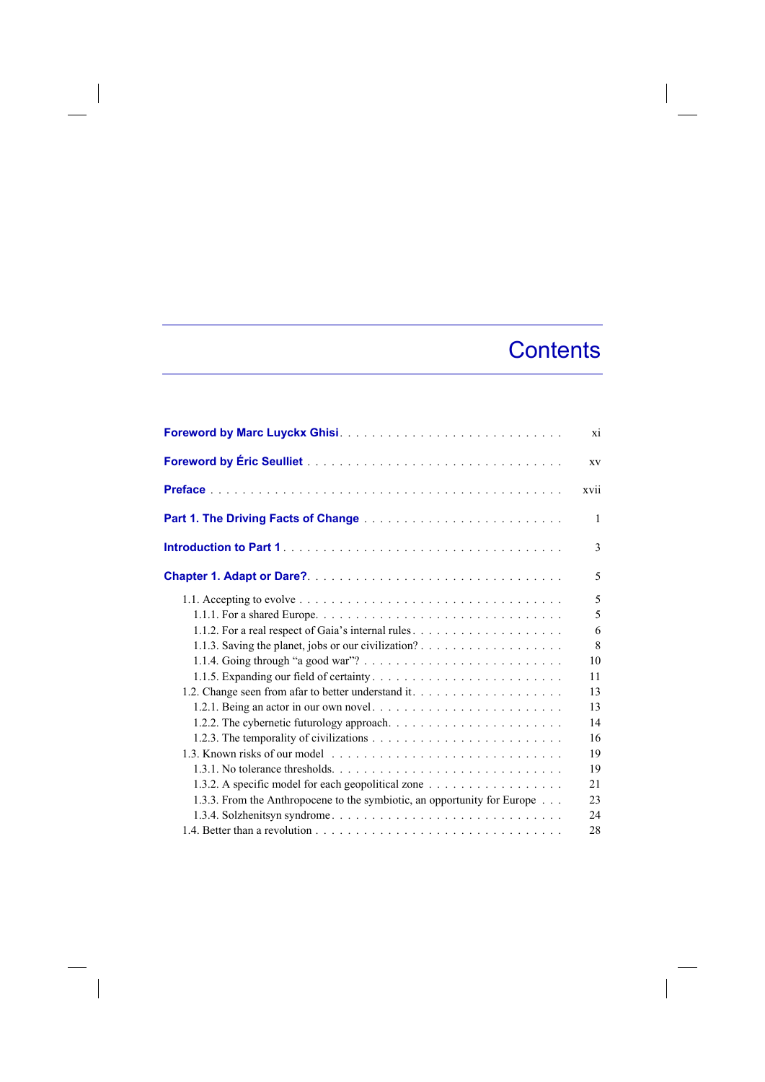## **Contents**

 $\overline{\phantom{a}}$ 

|                                                                                                                                  | xi   |
|----------------------------------------------------------------------------------------------------------------------------------|------|
|                                                                                                                                  | XV   |
|                                                                                                                                  | xvii |
|                                                                                                                                  | 1    |
|                                                                                                                                  | 3    |
|                                                                                                                                  | 5    |
|                                                                                                                                  | 5    |
|                                                                                                                                  | 5    |
|                                                                                                                                  | 6    |
|                                                                                                                                  | 8    |
|                                                                                                                                  | 10   |
|                                                                                                                                  | 11   |
| 1.2. Change seen from a far to better understand it                                                                              | 13   |
|                                                                                                                                  | 13   |
|                                                                                                                                  | 14   |
|                                                                                                                                  | 16   |
|                                                                                                                                  | 19   |
| 1.3.1. No tolerance thresholds. $\ldots$ , $\ldots$ , $\ldots$ , $\ldots$ , $\ldots$ , $\ldots$ , $\ldots$ , $\ldots$ , $\ldots$ | 19   |
| 1.3.2. A specific model for each geopolitical zone                                                                               | 21   |
| 1.3.3. From the Anthropocene to the symbiotic, an opportunity for Europe                                                         | 23   |
|                                                                                                                                  | 24   |
|                                                                                                                                  | 28   |

 $\begin{array}{c} \hline \end{array}$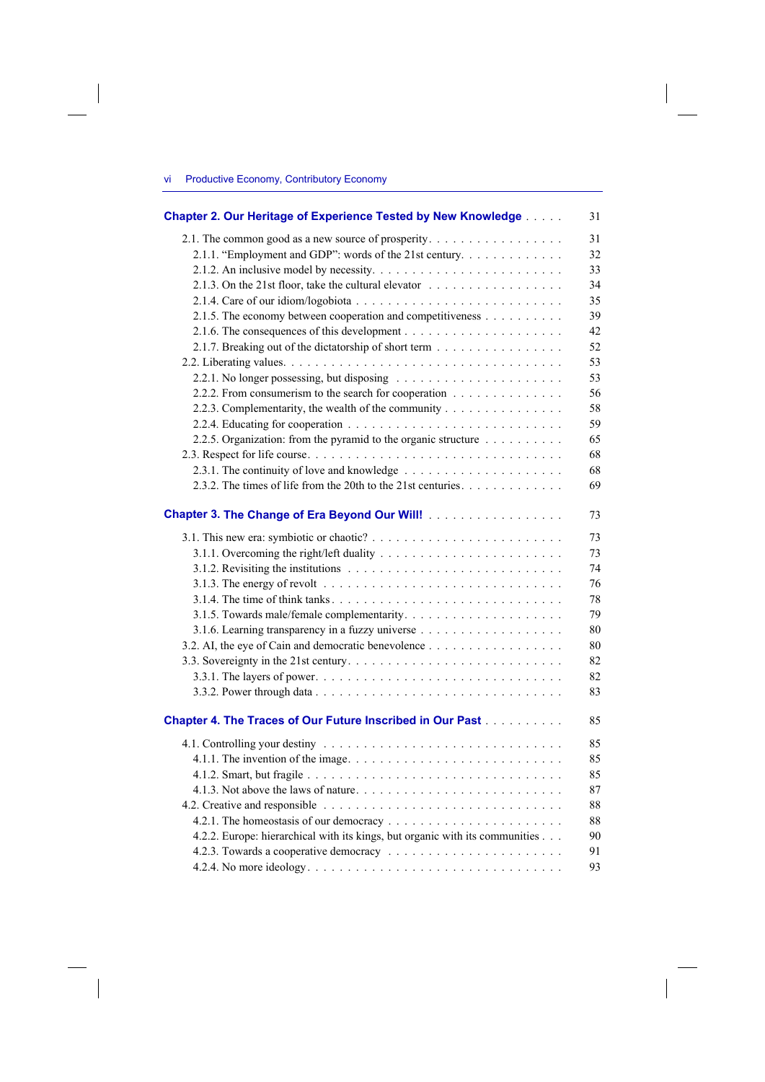## vi Productive Economy, Contributory Economy

 $\overline{\phantom{a}}$ 

 $\overline{\phantom{a}}$ 

| Chapter 2. Our Heritage of Experience Tested by New Knowledge                             | 31 |
|-------------------------------------------------------------------------------------------|----|
| 2.1. The common good as a new source of prosperity.                                       | 31 |
| 2.1.1. "Employment and GDP": words of the 21st century                                    | 32 |
|                                                                                           | 33 |
| 2.1.3. On the 21st floor, take the cultural elevator $\ldots \ldots \ldots \ldots \ldots$ | 34 |
|                                                                                           | 35 |
| 2.1.5. The economy between cooperation and competitiveness                                | 39 |
|                                                                                           | 42 |
| 2.1.7. Breaking out of the dictatorship of short term                                     | 52 |
|                                                                                           | 53 |
|                                                                                           | 53 |
| 2.2.2. From consumerism to the search for cooperation                                     | 56 |
| 2.2.3. Complementarity, the wealth of the community                                       | 58 |
|                                                                                           | 59 |
| 2.2.5. Organization: from the pyramid to the organic structure                            | 65 |
|                                                                                           | 68 |
|                                                                                           | 68 |
| 2.3.2. The times of life from the 20th to the 21st centuries.                             | 69 |
|                                                                                           |    |
| Chapter 3. The Change of Era Beyond Our Will!                                             | 73 |
|                                                                                           | 73 |
|                                                                                           | 73 |
|                                                                                           | 74 |
|                                                                                           | 76 |
|                                                                                           | 78 |
|                                                                                           | 79 |
|                                                                                           | 80 |
| 3.2. AI, the eye of Cain and democratic benevolence                                       | 80 |
|                                                                                           | 82 |
|                                                                                           | 82 |
|                                                                                           | 83 |
| Chapter 4. The Traces of Our Future Inscribed in Our Past                                 | 85 |
|                                                                                           | 85 |
|                                                                                           | 85 |
|                                                                                           | 85 |
|                                                                                           | 87 |
|                                                                                           | 88 |
|                                                                                           | 88 |
| 4.2.2. Europe: hierarchical with its kings, but organic with its communities              | 90 |
|                                                                                           | 91 |
|                                                                                           | 93 |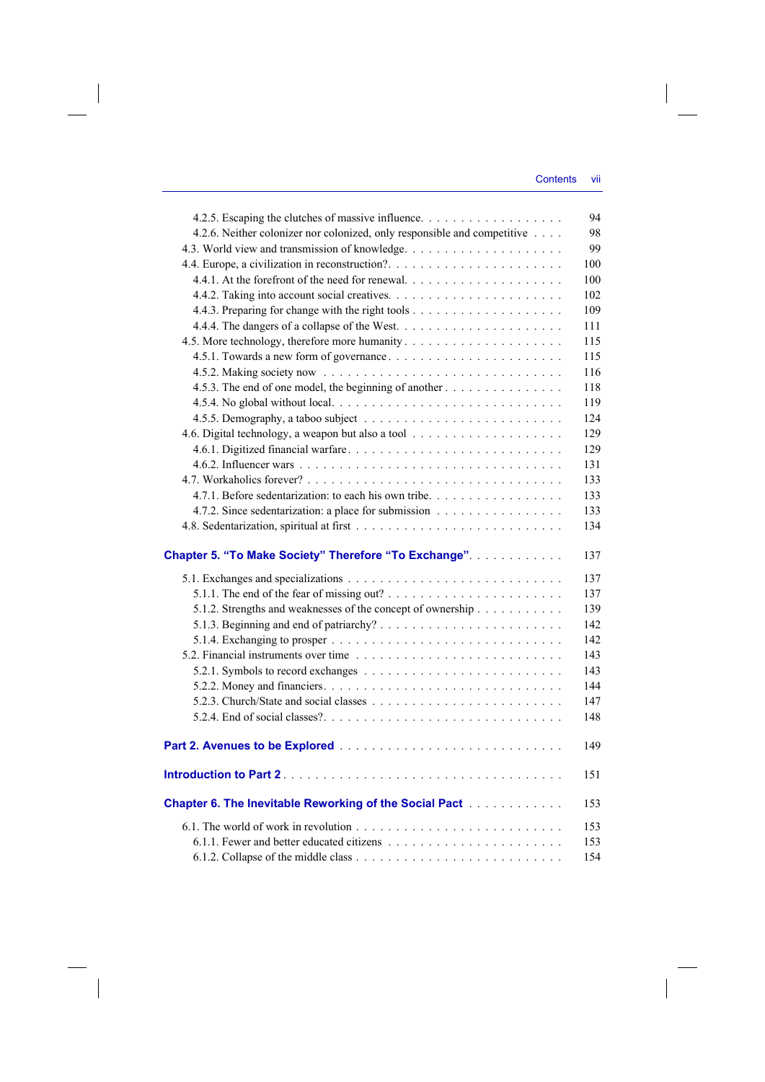| 4.2.6. Neither colonizer nor colonized, only responsible and competitive |  |
|--------------------------------------------------------------------------|--|
|                                                                          |  |
|                                                                          |  |
|                                                                          |  |
|                                                                          |  |
|                                                                          |  |
|                                                                          |  |
|                                                                          |  |
|                                                                          |  |
|                                                                          |  |
| 4.5.3. The end of one model, the beginning of another                    |  |
|                                                                          |  |
|                                                                          |  |
|                                                                          |  |
|                                                                          |  |
|                                                                          |  |
|                                                                          |  |
| 4.7.1. Before sedentarization: to each his own tribe.                    |  |
| 4.7.2. Since sedentarization: a place for submission                     |  |
|                                                                          |  |
| Chapter 5. "To Make Society" Therefore "To Exchange".                    |  |
|                                                                          |  |
|                                                                          |  |
| 5.1.2. Strengths and weaknesses of the concept of ownership              |  |
|                                                                          |  |
|                                                                          |  |
|                                                                          |  |
|                                                                          |  |
|                                                                          |  |
|                                                                          |  |
|                                                                          |  |
|                                                                          |  |
|                                                                          |  |
|                                                                          |  |
| Chapter 6. The Inevitable Reworking of the Social Pact [1] [1]           |  |
|                                                                          |  |
|                                                                          |  |
|                                                                          |  |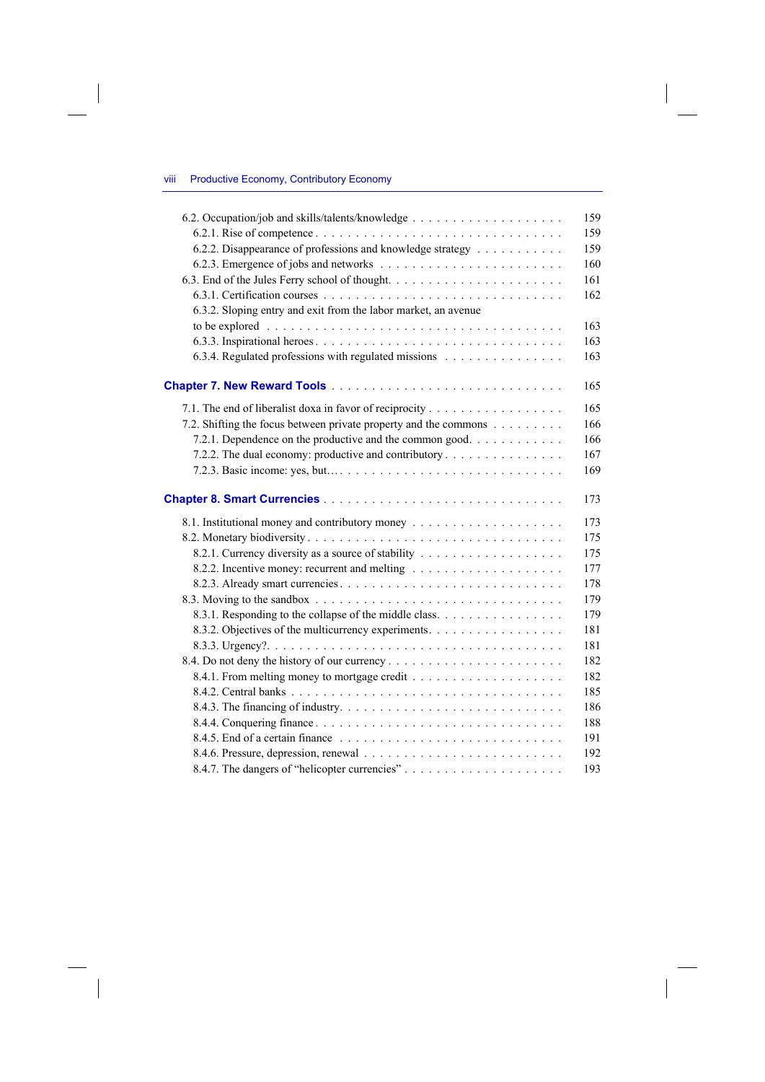## viii Productive Economy, Contributory Economy

 $\overline{\phantom{a}}$ 

 $\begin{array}{c} \hline \end{array}$ 

| 159<br>6.2.2. Disappearance of professions and knowledge strategy<br>159<br>160<br>161<br>162<br>6.3.2. Sloping entry and exit from the labor market, an avenue<br>163<br>163<br>6.3.4. Regulated professions with regulated missions<br>163<br>165<br>165<br>7.2. Shifting the focus between private property and the commons<br>166<br>7.2.1. Dependence on the productive and the common good<br>166<br>7.2.2. The dual economy: productive and contributory<br>167<br>169<br>173<br>173<br>175<br>175<br>177<br>178<br>179<br>8.3.1. Responding to the collapse of the middle class.<br>179<br>8.3.2. Objectives of the multicurrency experiments.<br>181<br>181<br>182<br>182<br>185<br>186<br>188<br>191<br>192 |     |
|-----------------------------------------------------------------------------------------------------------------------------------------------------------------------------------------------------------------------------------------------------------------------------------------------------------------------------------------------------------------------------------------------------------------------------------------------------------------------------------------------------------------------------------------------------------------------------------------------------------------------------------------------------------------------------------------------------------------------|-----|
|                                                                                                                                                                                                                                                                                                                                                                                                                                                                                                                                                                                                                                                                                                                       | 159 |
|                                                                                                                                                                                                                                                                                                                                                                                                                                                                                                                                                                                                                                                                                                                       |     |
|                                                                                                                                                                                                                                                                                                                                                                                                                                                                                                                                                                                                                                                                                                                       |     |
|                                                                                                                                                                                                                                                                                                                                                                                                                                                                                                                                                                                                                                                                                                                       |     |
|                                                                                                                                                                                                                                                                                                                                                                                                                                                                                                                                                                                                                                                                                                                       |     |
|                                                                                                                                                                                                                                                                                                                                                                                                                                                                                                                                                                                                                                                                                                                       |     |
|                                                                                                                                                                                                                                                                                                                                                                                                                                                                                                                                                                                                                                                                                                                       |     |
|                                                                                                                                                                                                                                                                                                                                                                                                                                                                                                                                                                                                                                                                                                                       |     |
|                                                                                                                                                                                                                                                                                                                                                                                                                                                                                                                                                                                                                                                                                                                       |     |
|                                                                                                                                                                                                                                                                                                                                                                                                                                                                                                                                                                                                                                                                                                                       |     |
|                                                                                                                                                                                                                                                                                                                                                                                                                                                                                                                                                                                                                                                                                                                       |     |
|                                                                                                                                                                                                                                                                                                                                                                                                                                                                                                                                                                                                                                                                                                                       |     |
|                                                                                                                                                                                                                                                                                                                                                                                                                                                                                                                                                                                                                                                                                                                       |     |
|                                                                                                                                                                                                                                                                                                                                                                                                                                                                                                                                                                                                                                                                                                                       |     |
|                                                                                                                                                                                                                                                                                                                                                                                                                                                                                                                                                                                                                                                                                                                       |     |
|                                                                                                                                                                                                                                                                                                                                                                                                                                                                                                                                                                                                                                                                                                                       |     |
|                                                                                                                                                                                                                                                                                                                                                                                                                                                                                                                                                                                                                                                                                                                       |     |
|                                                                                                                                                                                                                                                                                                                                                                                                                                                                                                                                                                                                                                                                                                                       |     |
|                                                                                                                                                                                                                                                                                                                                                                                                                                                                                                                                                                                                                                                                                                                       |     |
|                                                                                                                                                                                                                                                                                                                                                                                                                                                                                                                                                                                                                                                                                                                       |     |
|                                                                                                                                                                                                                                                                                                                                                                                                                                                                                                                                                                                                                                                                                                                       |     |
|                                                                                                                                                                                                                                                                                                                                                                                                                                                                                                                                                                                                                                                                                                                       |     |
|                                                                                                                                                                                                                                                                                                                                                                                                                                                                                                                                                                                                                                                                                                                       |     |
|                                                                                                                                                                                                                                                                                                                                                                                                                                                                                                                                                                                                                                                                                                                       |     |
|                                                                                                                                                                                                                                                                                                                                                                                                                                                                                                                                                                                                                                                                                                                       |     |
|                                                                                                                                                                                                                                                                                                                                                                                                                                                                                                                                                                                                                                                                                                                       |     |
|                                                                                                                                                                                                                                                                                                                                                                                                                                                                                                                                                                                                                                                                                                                       |     |
|                                                                                                                                                                                                                                                                                                                                                                                                                                                                                                                                                                                                                                                                                                                       |     |
|                                                                                                                                                                                                                                                                                                                                                                                                                                                                                                                                                                                                                                                                                                                       |     |
|                                                                                                                                                                                                                                                                                                                                                                                                                                                                                                                                                                                                                                                                                                                       |     |
|                                                                                                                                                                                                                                                                                                                                                                                                                                                                                                                                                                                                                                                                                                                       |     |
|                                                                                                                                                                                                                                                                                                                                                                                                                                                                                                                                                                                                                                                                                                                       |     |
|                                                                                                                                                                                                                                                                                                                                                                                                                                                                                                                                                                                                                                                                                                                       |     |
|                                                                                                                                                                                                                                                                                                                                                                                                                                                                                                                                                                                                                                                                                                                       |     |
|                                                                                                                                                                                                                                                                                                                                                                                                                                                                                                                                                                                                                                                                                                                       | 193 |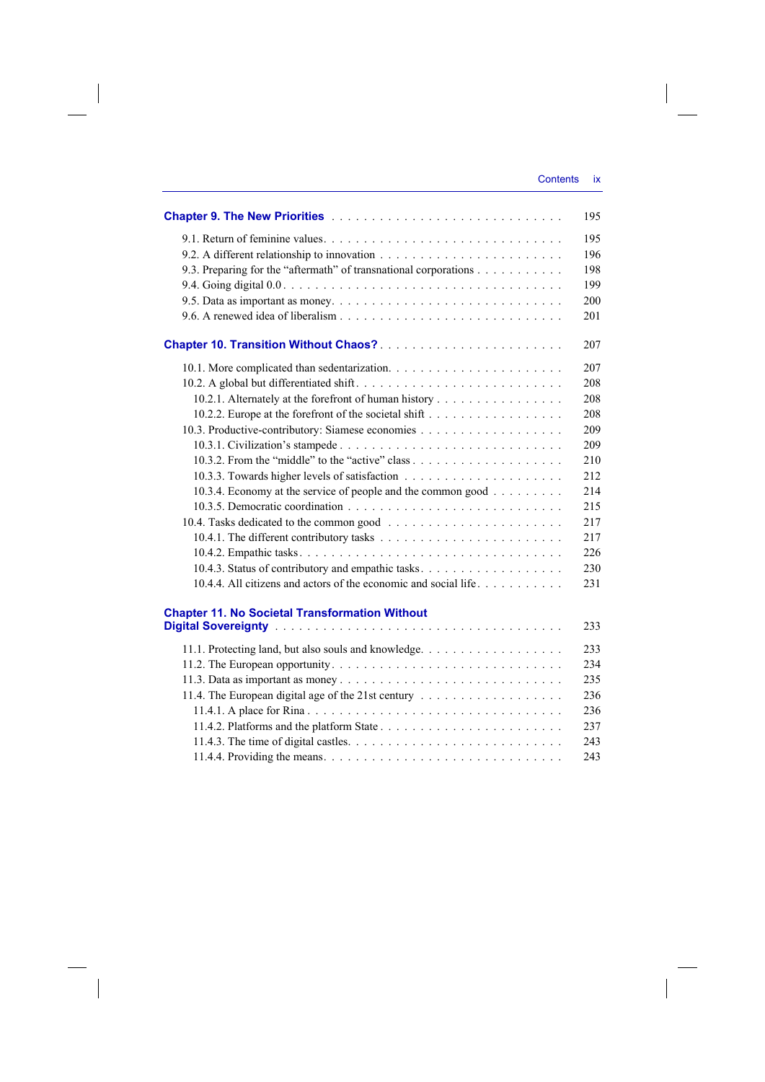$\overline{\phantom{a}}$ 

|                                                                  | 195 |
|------------------------------------------------------------------|-----|
|                                                                  | 195 |
|                                                                  | 196 |
| 9.3. Preparing for the "aftermath" of transnational corporations | 198 |
|                                                                  | 199 |
|                                                                  | 200 |
|                                                                  | 201 |
|                                                                  | 207 |
|                                                                  | 207 |
|                                                                  | 208 |
| 10.2.1. Alternately at the forefront of human history            | 208 |
|                                                                  | 208 |
|                                                                  | 209 |
|                                                                  | 209 |
|                                                                  | 210 |
|                                                                  | 212 |
| 10.3.4. Economy at the service of people and the common good     | 214 |
|                                                                  | 215 |
|                                                                  | 217 |
|                                                                  | 217 |
|                                                                  | 226 |
|                                                                  | 230 |
| 10.4.4. All citizens and actors of the economic and social life  | 231 |
| <b>Chapter 11. No Societal Transformation Without</b>            | 233 |
|                                                                  | 233 |
|                                                                  | 234 |
|                                                                  | 235 |
|                                                                  | 236 |
|                                                                  | 236 |
|                                                                  | 237 |
|                                                                  | 243 |
|                                                                  | 243 |
|                                                                  |     |

 $\overline{\phantom{a}}$ 

 $\begin{array}{c} \hline \end{array}$